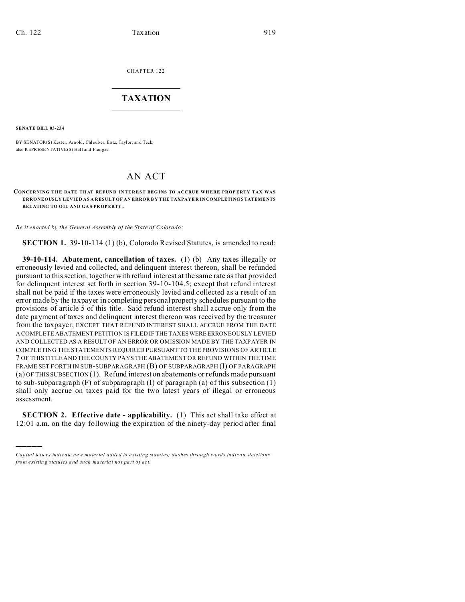CHAPTER 122  $\overline{\phantom{a}}$  , where  $\overline{\phantom{a}}$ 

## **TAXATION**  $\_$

**SENATE BILL 03-234**

)))))

BY SENATOR(S) Kester, Arnold, Chlouber, Entz, Taylor, and Teck; also REPRESENTATIVE(S) Hall and Frangas.

## AN ACT

## **CONCERNING THE DATE THAT REFUND INTEREST BEG INS TO ACCRUE WH ERE PROP ERTY TAX WAS ERRONEOUSLY LEVIED AS A RESULT OF AN ERROR B Y THE TAXPAYE R IN COMPLETING STATEME NTS RELATING TO O IL AND GA S PROPERTY .**

*Be it enacted by the General Assembly of the State of Colorado:*

**SECTION 1.** 39-10-114 (1) (b), Colorado Revised Statutes, is amended to read:

**39-10-114. Abatement, cancellation of taxes.** (1) (b) Any taxes illegally or erroneously levied and collected, and delinquent interest thereon, shall be refunded pursuant to this section, together with refund interest at the same rate as that provided for delinquent interest set forth in section 39-10-104.5; except that refund interest shall not be paid if the taxes were erroneously levied and collected as a result of an error made by the taxpayer in completing personal property schedules pursuant to the provisions of article 5 of this title. Said refund interest shall accrue only from the date payment of taxes and delinquent interest thereon was received by the treasurer from the taxpayer; EXCEPT THAT REFUND INTEREST SHALL ACCRUE FROM THE DATE A COMPLETE ABATEMENT PETITION IS FILED IF THE TAXES WEREERRONEOUSLY LEVIED AND COLLECTED AS A RESULT OF AN ERROR OR OMISSION MADE BY THE TAXPAYER IN COMPLETING THE STATEMENTS REQUIRED PURSUANT TO THE PROVISIONS OF ARTICLE 7 OF THIS TITLE AND THE COUNTY PAYS THE ABATEMENT OR REFUND WITHIN THE TIME FRAME SET FORTH IN SUB-SUBPARAGRAPH (B) OF SUBPARAGRAPH (I) OF PARAGRAPH (a) OF THIS SUBSECTION (1). Refund interest on abatements or refunds made pursuant to sub-subparagraph  $(F)$  of subparagraph  $(I)$  of paragraph  $(a)$  of this subsection  $(1)$ shall only accrue on taxes paid for the two latest years of illegal or erroneous assessment.

**SECTION 2. Effective date - applicability.** (1) This act shall take effect at 12:01 a.m. on the day following the expiration of the ninety-day period after final

*Capital letters indicate new material added to existing statutes; dashes through words indicate deletions from e xistin g statu tes a nd such ma teria l no t pa rt of ac t.*